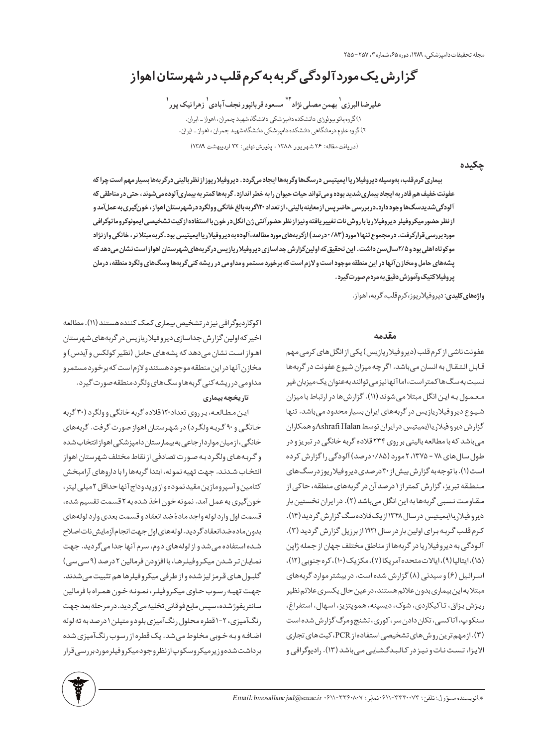مجله تحقیقات دامیزشکی، ۱۳۸۹، دوره ۶۵، شماره ۳، ۲۵۷-۲۵۵

گزارش یک مورد آلودگی گربه به کرم قلب در شهرستان اهواز

عليرضا البرزي <sup>١</sup> بهمن مصلي نژاد أي مسعود قربانپور نجف آبادي <sup>١</sup> زهرا نيک پور <sup>١</sup> ١) گروه پاتو بیولوژی دانشکده دامپزشکی دانشگاه شهید چمران، اهواز ـ ایران. ۲) گروه علوم درمانگاهی دانشکده دامپزشکی دانشگاه شهید چمران ، اهواز ـ ایران. (دریافت مقاله: ۲۶ شهریور ۱۳۸۸ ، پذیرش نهایی: ۲۲ اردیبهشت ۱۳۸۹)

يكيده

بیماری کرم قلب، بهوسیله دیروفیلاریا ایمیتیس درسگ ها وگربهها ایجاد میگردد. دیروفیلاریوز از نظر بالینی درگربهها بسیار مهم است چرا که عفونت خفیف هم قادر به ایجاد بیماری شدید بوده ومی تواند حیات حیوان را به خطر اندازد . گربهها کمتر به بیماری آلوده می شوند، حتی در مناطقی که آلودگیشدیدسگ&اوجوددارد.دربررسی حاضرپس ازمعاینهبالینی، از تعداد ۲۰اگربه بالغ خانگی وولگرددرشهرستان اهواز، خونگیری به عملآمد و ازنظر حضور ميكروفيلر ديروفيلارياباروش نات تغيير يافته ونيزازنظر حضورآنتي ژن انگل درخون با استفاده ازكيت تشخيصي ايمونوكروماتوگرافي مورد بررسی قرارگرفت. در مجموع تنها ۱ مورد (۸۳ / درصد) ازگر بههای مورد مطالعه،آلوده به دیروفیلار یا ایمیتیس بود.گر به مبتلا نر ، خانگی واز نژاد موکوتاه اهلی بود و ۲۵سال سن داشت. این تحقیق که اولین گزارش جداسازی دیروفیلار یازیس درگربههای شهرستان اهواز است نشان میدهد که پشههای حامل ومخازن آنها در این منطقه موجود است و لازم است که برخورد مستمر ومداومی در ریشه کن*ی گ*ربهها وسگ&ای ولگرد منطقه، درمان پروفیلاکتیک وآموزش دقیق به مردم صورتگیرد.

واژههای کلیدی: دیروفیلاریوز، کرم قلب، گربه، اهواز.

#### مقدمه

عفونت ناشی از کرم قلب (دیروفیلاریازیس) یکی از انگل های کرمی مهم قابل انتقال به انسان میباشد. اگرچه میزان شیوع عفونت در گربهها نسبت به سگ ها کمتر است، اما آنها نیز می توانند به عنوان یک میزبان غیر معمول به این انگل مبتلامیشوند (١١). گزارش ها در ارتباط با میزان شیوع دیروفیلاریازیس در گربههای ایران بسیار محدود میباشد. تنها گزارش ديرو فيلاريا ايميتيس درايران توسط Ashrafi Halanوهمكاران میباشد که با مطالعه بالینی بر روی ۲۳۴ قلاده گربه خانگی در تبریز و در طول سال های ۷۸ - ۱۳۷۵، ۲ مورد (۰/۸۵ درصد) آلودگی را گزارش کرده است (۱). با توجه به گزارش بیش از ۳۰ درصدی دیرو فیلاریوز در سگ های منطقه تبریز، گزارش کمتراز ۱ درصد آن در گربههای منطقه، حاکی از مقاومت نسبی گربهها به این انگل میباشد (٢). در ایران نخستین بار دیروفیلاریاایمیتیس درسال ۱۳۴۸ازیک قلاده سگ گزارش گردید(۱۴). کرم قلب گربه برای اولین بار در سال ۱۹۲۱ از برزیل گزارش گردید (۳). آلودگی به دیروفیلاریا در گربهها از مناطق مختلف جهان از جمله ژاپن (۱۵)، ایتالیا (۹)، ایالات متحده آمریکا (۷)، مکزیک (۱۰)، کره جنوبی (۱۲)، اسرائیل (۶) و سیدنی (۸) گزارش شده است. در بیشتر موارد گربههای مبتلابه این بیماری بدون علائم هستند، در عین حال یکسری علائم نظیر ريزش بزاق، تاكيكاردي، شوک، ديسپنه، هموپتزيز، اسهال، استفراغ، سنکوپ، آتاکسی، تکان دادن سر، کوری، تشنج ومرگ گزارش شده است (۳). از مهم ترین روش های تشخیصی استفاده از PCR، کیت های تجاری الایزا، تست نات و نیز در کالبدگشایی میباشد (۱۳). رادیوگرافی و

اکوکاردیوگرافی نیز در تشخیص بیماری کمک کننده هستند (۱۱). مطالعه اخیر که اولین گزارش جداسازی دیروفیلاریازیس در گربههای شهرستان اهواز است نشان میدهد که پشههای حامل (نظیر کولکس و آیدس) و مخازن آنها دراين منطقه موجود هستند ولازم است كه برخورد مستمرو مداومی درریشه کنی گربههاوسگ های ولگردمنطقه صورت گیرد.

## تاریخچه بیماری

این مطالعه، برروی تعداد۱۲۰ قلاده گربه خانگی و ولگرد (۳۰ گربه خانگی و ۹۰ گربه ولگرد) در شهرستان اهواز صورت گرفت. گربههای خانگی، از میان مواردارجاعی به بیمار ستان دامپزشکی اهواز انتخاب شده و گربههای ولگرد به صورت تصادفی از نقاط مختلف شهرستان اهواز انتخاب شدند. جهت تهيه نمونه، ابتدا گربهها را با داروهاي آرامبخش كتامين وآسپرومازين مقيد نموده وازوريدوداج آنها حداقل ٢ميلي ليتر، خونگیری به عمل آمد. نمونه خون اخذ شده به ۲ قسمت تقسیم شده، قسمت اول وارد لوله واجد مادهٔ ضد انعقاد و قسمت بعدی وارد لولههای بدون ماده ضدانعقاد گردید. لوله های اول جهت انجام آزمایش نات اصلاح شده استفاده می شد و از لولههای دوم، سرم آنها جدا میگردید. جهت نمایان تر شدن میکروفیلرها، با افزودن فرمالین ۲ درصد (۹ سی سی) گلبول های قرمز لیز شده و از طرفی میکروفیلرها هم تثبیت می شدند. جهت تهيه رسوب حاوي ميكروفيلر، نمونه خون همراه با فرمالين سانتر يفوژ شده، سپس مايع فو قاني تخليه مي گر ديد. در مر حله بعد جهت رنگآمیزی، ۲-۱ قطره محلول رنگآمیزی بلودو متیلن ۱ درصد به ته لوله اضافه وبه خوبی مخلوط می شد. یک قطره از رسوب رنگآمیزی شده برداشت شده وزیر میکروسکوپازنظروجود میکروفیلر موردبررسی قرار

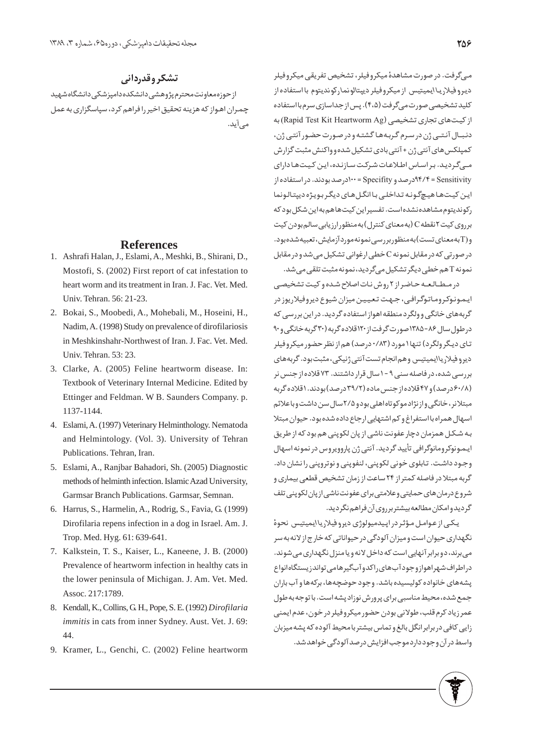## تشکر وقدردانی

از حوزه معاونت محترم پژوهشی دانشکده دامپزشکی دانشگاه شهید چمران اهـواز که هزینه تحقیق اخیر را فراهم کرد، سپاسگزاری به عمل مے ,آید.

### **References**

- Ashrafi Halan, J., Eslami, A., Meshki, B., Shirani, D., 1. Mostofi, S. (2002) First report of cat infestation to heart worm and its treatment in Iran. J. Fac. Vet. Med. Univ. Tehran. 56: 21-23.
- Bokai, S., Moobedi, A., Mohebali, M., Hoseini, H., 2. Nadim, A. (1998) Study on prevalence of dirofilariosis in Meshkinshahr-Northwest of Iran. J. Fac. Vet. Med. Univ. Tehran. 53: 23.
- Clarke, A. (2005) Feline heartworm disease. In: 3. Textbook of Veterinary Internal Medicine. Edited by Ettinger and Feldman. W B. Saunders Company. p. 1137-1144.
- Eslami, A. (1997) Veterinary Helminthology. Nematoda 4. and Helmintology. (Vol. 3). University of Tehran Publications. Tehran, Iran.
- Eslami, A., Ranjbar Bahadori, Sh. (2005) Diagnostic 5. methods of helminth infection. Islamic Azad University, Garmsar Branch Publications. Garmsar, Semnan.
- Harrus, S., Harmelin, A., Rodrig, S., Favia, G. (1999) 6. Dirofilaria repens infection in a dog in Israel. Am. J. Trop. Med. Hyg. 61: 639-641.
- 7. Kalkstein, T. S., Kaiser, L., Kaneene, J. B. (2000) Prevalence of heartworm infection in healthy cats in the lower peninsula of Michigan. J. Am. Vet. Med. Assoc. 217:1789.
- 8. Kendall, K., Collins, G. H., Pope, S. E. (1992) *Dirofilaria immitis* in cats from inner Sydney. Aust. Vet. J. 69: 44.
- 9. Kramer, L., Genchi, C. (2002) Feline heartworm

مبی گرفت. در صورت مشاهدهٔ میکروفیلر، تشخیص تفریقی میکروفیلر ديرو فيلاريـا\يميتيس از ميكروفيلر ديپتالونماركونديتوم با استفاده از کلید تشخیصی صورتمیگرفت (۴،۵). پس از جداسازی سرم با استفاده از کیتھای تجاری تشخیصی (Rapid Test Kit Heartworm Ag) به دنبیال آنتبی ژن در سرم گربهها گشته و در صورت حضور آنتبی ژن، كمپلكس هاي آنتي ژن + آنتي بادي تشكيل شده و واكنش مثبت گزارش مے گردید. بر اساس اطلاعات شرکت سازنده، این کیتها دارای ادرصد بودند. در استفاده ازSpecifity از صد بودند. در استفاده از $\gamma$ ۴ = Sensitivity این کیتها هیچگونه تداخلی با انگل های دیگر بویژه دیپتالونما رکوندیتوم مشاهده نشده است. تفسیر این کیت ها هم به این شکل بود که بر <sub>(</sub>وی کیت ۲ نقطه C (به معنای کنترل) به منظور ارزیابی سالم بودن کیت و (Tبه معنای تست) به منظور بررسی نمونه مورد آزمایش، تعبیه شده بود. در صورتی که در مقابل نمونه C خطی ارغوانی تشکیل می شد و در مقابل

نمونه T هم خطي ديگر تشكيل مي گرديد، نمونه مثبت تلقى مي شد.

در مطـالعـه حـاضراز ٢ روش نـات اصلاح شـده و كيت تشخيصي ایمونوکروماتوگرافی، جهت تعیین میزان شیوع دیروفیلاریوز در گربههای خانگی وولگرد منطقه اهواز استفاده گردید. در این بررسی که در طول سال ۸۶-۱۳۸۵ صورت گرفت از ۱۲۰قلاده گربه (۳۰ گربه خانگی و ۹۰ تای دیگر ولگرد) تنها ۱ مورد (۰/۸۳ درصد) هم از نظر حضور میکروفیلر ديروفيلارياايميتيس وهم انجام تست آنتي ژنيكي، مثبت بود. گربههاي بررسی شده، در فاصله سنی ۹ - ۱ سال قرار داشتند. ۷۳ قلاده از جنس نر (۶۰/۸درصد) و۴۷ قلاده از جنس ماده (۳۹/۲ درصد) بودند. ۱ قلاده گربه مبتلانر، خانگی واز نژادموکوتاه اهلی بودو ۲/۵ سال سن داشت وباعلائم اسهال همراه با استفراغ و کم اشتهایی ارجاع داده شده بود. حیوان مبتلا به شکل همزمان دچار عفونت ناشی از پان لکوپنی هم بود که از طریق ايمونوكرومانوگرافي تأييد گرديد. آنتي ژن پاروويروس در نمونه اسهال وجود داشت. تابلوی خونی لکوپنی، لنفوپنی و نوتروپنی را نشان داد. گربه مبتلا در فاصله کمتر از ۲۴ ساعت از زمان تشخیص قطعی بیماری و شروع درمان های حمایتی و علامتی برای عفونت ناشبی از پان لکوپنبی تلف گردید وامکان مطالعه بیشتر بر روی آن فراهم نگردید.

یکیی از عوامل مؤثر در اپیدمیولوژی دیروفیلاریا ایمیتیس نحوهٔ نگهداری حیوان است و میزان آلودگی در حیواناتی که خار ج از لانه به سر می برند، دو برابر آنهایی است که داخل لانه و یا منزل نگهداری می شوند. دراطراف شهراهوازوجودآبهای راکدوآبگیرهامی تواندز یستگاهانواع پشههای خانواده کولیسیده باشد. وجود حوضچهها، برکهها و آب باران جمع شده، محیط مناسبی برای پرورش نوزاد پشه است. با توجه به طول عمر زياد كرم قلب، طولاني بودن حضور ميكروفيلر در خون، عدم ايمني زایی کافی در برابر انگل بالغ و تماس بیشتر با محیط آلوده که پشه میزبان واسط در آن وجود دارد موجب افزایش درصد آلودگی خواهد شد.

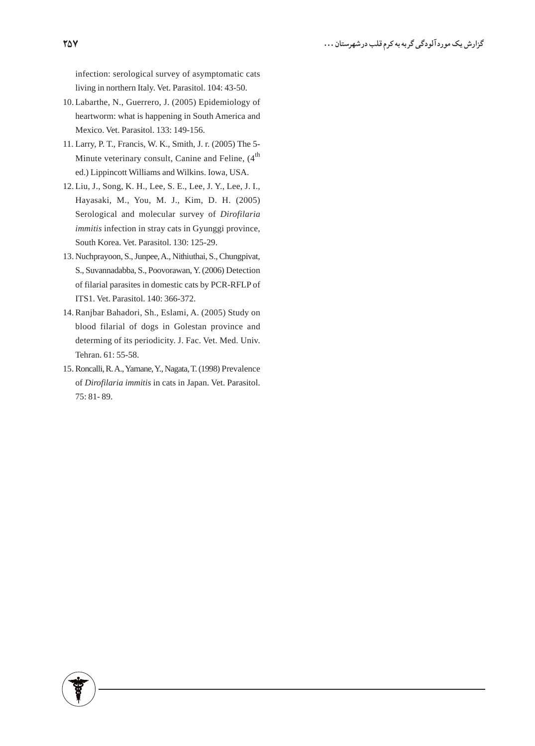infection: serological survey of asymptomatic cats living in northern Italy. Vet. Parasitol. 104: 43-50.

- 10. Labarthe, N., Guerrero, J. (2005) Epidemiology of heartworm: what is happening in South America and Mexico. Vet. Parasitol. 133: 149-156.
- 11. Larry, P. T., Francis, W. K., Smith, J. r. (2005) The 5-Minute veterinary consult, Canine and Feline, (4<sup>th</sup>) ed.) Lippincott Williams and Wilkins. Iowa, USA.
- 12. Liu, J., Song, K. H., Lee, S. E., Lee, J. Y., Lee, J. I., Hayasaki, M., You, M. J., Kim, D. H. (2005) Serological and molecular survey of Dirofilaria immitis infection in stray cats in Gyunggi province, South Korea. Vet. Parasitol. 130: 125-29.
- 13. Nuchprayoon, S., Junpee, A., Nithiuthai, S., Chungpivat, S., Suvannadabba, S., Poovorawan, Y. (2006) Detection of filarial parasites in domestic cats by PCR-RFLP of ITS1. Vet. Parasitol. 140: 366-372.
- 14. Ranjbar Bahadori, Sh., Eslami, A. (2005) Study on blood filarial of dogs in Golestan province and determing of its periodicity. J. Fac. Vet. Med. Univ. Tehran. 61: 55-58.
- 15. Roncalli, R.A., Yamane, Y., Nagata, T. (1998) Prevalence of Dirofilaria immitis in cats in Japan. Vet. Parasitol. 75: 81-89.